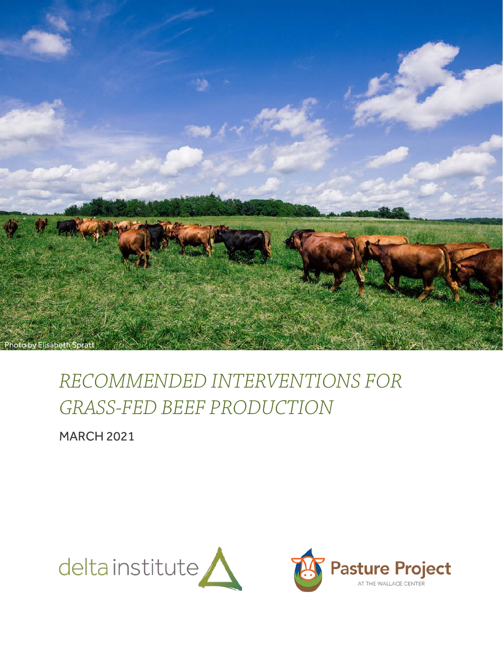

# *RECOMMENDED INTERVENTIONS FOR GRASS-FED BEEF PRODUCTION*

MARCH 2021

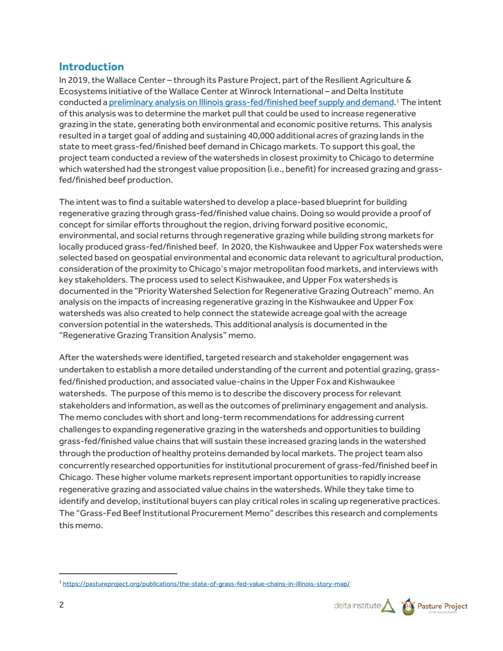# **Introduction**

In 2019, the Wallace Center – through its Pasture Project, part of the Resilient Agriculture & Ecosystems initiative of the Wallace Center at Winrock International – and Delta Institute conducted a [preliminary analysis on Illinois grass-fed/finished beef supply and demand.](https://pastureproject.org/publications/the-state-of-grass-fed-value-chains-in-illinois-story-map/)<sup>[1](#page-1-0)</sup> The intent of this analysis was to determine the market pull that could be used to increase regenerative grazing in the state, generating both environmental and economic positive returns. This analysis resulted in a target goal of adding and sustaining 40,000 additional acres of grazing lands in the state to meet grass-fed/finished beef demand in Chicago markets. To support this goal, the project team conducted a review ofthe watersheds in closest proximity to Chicago to determine which watershed had the strongest value proposition (i.e., benefit) for increased grazing and grassfed/finished beef production.

The intent was to find a suitable watershed to develop a place-based blueprint for building regenerative grazing through grass-fed/finished value chains. Doing so would provide a proof of concept for similar efforts throughout the region, driving forward positive economic, environmental, and social returns through regenerative grazing while building strong markets for locally produced grass-fed/finished beef. In 2020, the Kishwaukee and Upper Fox watersheds were selected based on geospatial environmental and economic data relevant to agricultural production, consideration of the proximity to Chicago's major metropolitan food markets, and interviews with key stakeholders. The process used to select Kishwaukee, and Upper Fox watersheds is documented in the "Priority Watershed Selection for Regenerative Grazing Outreach" memo. An analysis on the impacts of increasing regenerative grazing in the Kishwaukee and Upper Fox watersheds was also created to help connect the statewide acreage goal with the acreage conversion potential in the watersheds. This additional analysis is documented in the "Regenerative Grazing Transition Analysis" memo.

After the watersheds were identified, targeted research and stakeholder engagement was undertaken to establish a more detailed understanding of the current and potential grazing, grassfed/finished production, and associated value-chains in the Upper Fox and Kishwaukee watersheds. The purpose of this memo is to describe the discovery process for relevant stakeholders and information, as well as the outcomes of preliminary engagement and analysis. The memo concludes with short and long-term recommendations for addressing current challenges to expanding regenerative grazing in the watersheds and opportunities to building grass-fed/finished value chains that will sustain these increased grazing lands in the watershed through the production of healthy proteins demanded by local markets. The project team also concurrently researched opportunities for institutional procurement of grass-fed/finished beef in Chicago. These higher volume markets represent important opportunities to rapidly increase regenerative grazing and associated value chains in the watersheds. While they take time to identify and develop, institutional buyers can play critical roles in scaling up regenerative practices. The "Grass-Fed Beef Institutional Procurement Memo" describes this research and complements this memo.

<span id="page-1-0"></span><sup>1</sup> <https://pastureproject.org/publications/the-state-of-grass-fed-value-chains-in-illinois-story-map/>

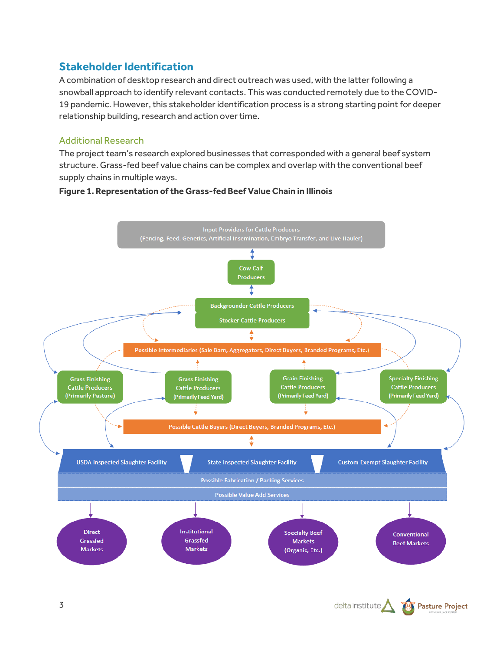# **Stakeholder Identification**

A combination of desktop research and direct outreach was used, with the latter following a snowball approach to identify relevant contacts. This was conducted remotely due to the COVID-19 pandemic. However, this stakeholder identification process is a strong starting point for deeper relationship building, research and action over time.

### Additional Research

The project team's research explored businesses that corresponded with a general beef system structure. Grass-fed beef value chains can be complex and overlap with the conventional beef supply chains in multiple ways.



#### **Figure 1. Representation of the Grass-fed Beef Value Chain in Illinois**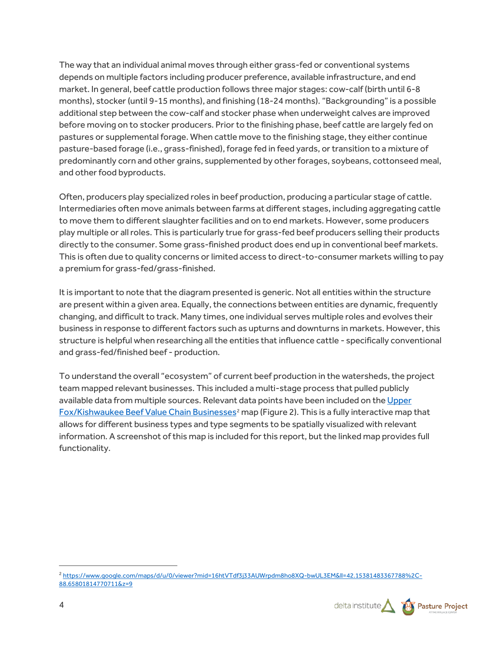The way that an individual animal moves through either grass-fed or conventional systems depends on multiple factors including producer preference, available infrastructure, and end market. In general, beef cattle production follows three major stages: cow-calf (birth until 6-8 months), stocker (until 9-15 months), and finishing (18-24 months). "Backgrounding" is a possible additional step between the cow-calf and stocker phase when underweight calves are improved before moving on to stocker producers. Prior to the finishing phase, beef cattle are largely fed on pastures or supplemental forage. When cattle move to the finishing stage, they either continue pasture-based forage (i.e., grass-finished), forage fed in feed yards, or transition to a mixture of predominantly corn and other grains, supplemented by other forages, soybeans, cottonseed meal, and other food byproducts.

Often, producers play specialized roles in beef production, producing a particular stage of cattle. Intermediaries often move animals between farms at different stages, including aggregating cattle to move them to different slaughter facilities and on to end markets. However, some producers play multiple or all roles. This is particularly true for grass-fed beef producers selling their products directly to the consumer. Some grass-finished product does end up in conventional beef markets. This is often due to quality concerns or limited access to direct-to-consumer markets willing to pay a premium for grass-fed/grass-finished.

It is important to note that the diagram presented is generic. Not all entities within the structure are present within a given area. Equally, the connections between entities are dynamic, frequently changing, and difficult to track. Many times, one individual serves multiple roles and evolves their business in response to different factors such as upturns and downturns in markets. However, this structure is helpful when researching all the entities that influence cattle - specifically conventional and grass-fed/finished beef - production.

To understand the overall "ecosystem" of current beef production in the watersheds, the project team mapped relevant businesses. This included a multi-stage process that pulled publicly available data from multiple sources. Relevant data points have been included on th[e Upper](https://www.google.com/maps/d/u/0/viewer?mid=16htVTdf3j33AUWrpdm8ho8XQ-bwUL3EM&ll=42.15381483367788%2C-88.65801814770711&z=9)  [Fox/Kishwaukee Beef Value Chain Businesses](https://www.google.com/maps/d/u/0/viewer?mid=16htVTdf3j33AUWrpdm8ho8XQ-bwUL3EM&ll=42.15381483367788%2C-88.65801814770711&z=9)<sup>[2](#page-3-0)</sup> map (Figure 2). This is a fully interactive map that allows for different business types and type segments to be spatially visualized with relevant information. A screenshot of this map is included for this report, but the linked map provides full functionality.

<span id="page-3-0"></span><sup>2</sup> [https://www.google.com/maps/d/u/0/viewer?mid=16htVTdf3j33AUWrpdm8ho8XQ-bwUL3EM&ll=42.15381483367788%2C-](https://www.google.com/maps/d/u/0/viewer?mid=16htVTdf3j33AUWrpdm8ho8XQ-bwUL3EM&ll=42.15381483367788%2C-88.65801814770711&z=9)[88.65801814770711&z=9](https://www.google.com/maps/d/u/0/viewer?mid=16htVTdf3j33AUWrpdm8ho8XQ-bwUL3EM&ll=42.15381483367788%2C-88.65801814770711&z=9)

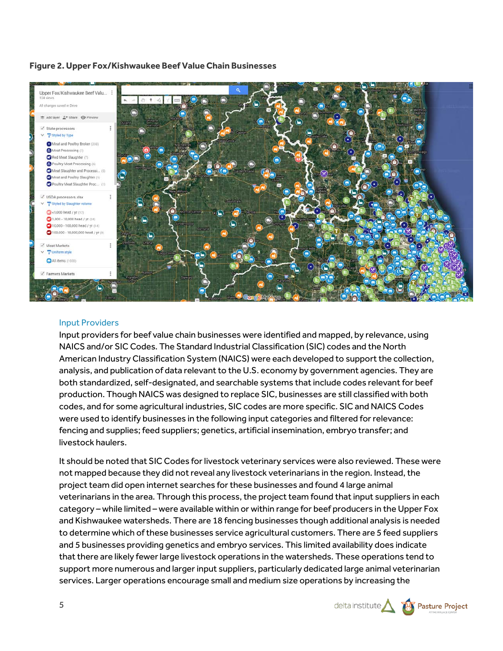#### **Figure 2. Upper Fox/Kishwaukee Beef Value Chain Businesses**



#### Input Providers

Input providers for beef value chain businesses were identified and mapped, by relevance, using NAICS and/or SIC Codes. The Standard Industrial Classification (SIC) codes and the North American Industry Classification System (NAICS) were each developed to support the collection, analysis, and publication of data relevant to the U.S. economy by government agencies. They are both standardized, self-designated, and searchable systems that include codes relevant for beef production. Though NAICS was designed to replace SIC, businesses are still classified with both codes, and for some agricultural industries, SIC codes are more specific. SIC and NAICS Codes were used to identify businesses in the following input categories and filtered for relevance: fencing and supplies; feed suppliers; genetics, artificial insemination, embryo transfer; and livestock haulers.

It should be noted that SIC Codes for livestock veterinary services were also reviewed. These were not mapped because they did not reveal any livestock veterinarians in the region. Instead, the project team did open internet searches for these businesses and found 4 large animal veterinarians in the area. Through this process, the project team found that input suppliers in each category – while limited – were available within or within range for beef producers in the Upper Fox and Kishwaukee watersheds. There are 18 fencing businesses though additional analysis is needed to determine which of these businesses service agricultural customers. There are 5 feed suppliers and 5 businesses providing genetics and embryo services. This limited availability does indicate that there are likely fewer large livestock operations in the watersheds. These operations tend to support more numerous and larger input suppliers, particularly dedicated large animal veterinarian services. Larger operations encourage small and medium size operations by increasing the

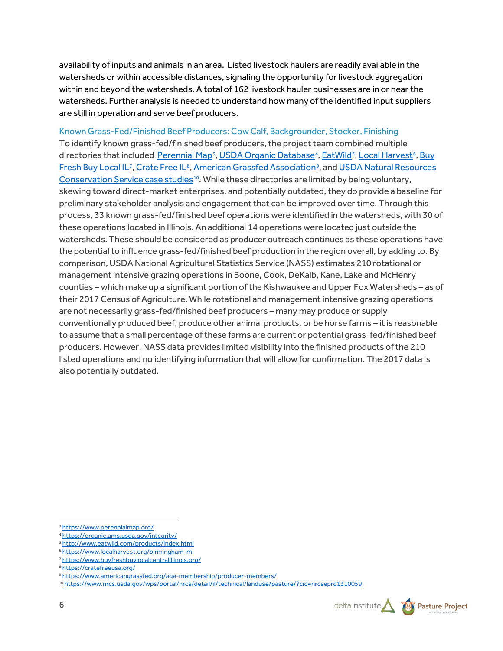availability of inputs and animals in an area. Listed livestock haulers are readily available in the watersheds or within accessible distances, signaling the opportunity for livestock aggregation within and beyond the watersheds. A total of 162 livestock hauler businesses are in or near the watersheds. Further analysis is needed to understand how many of the identified input suppliers are still in operation and serve beef producers.

Known Grass-Fed/Finished Beef Producers: Cow Calf, Backgrounder, Stocker, Finishing To identify known grass-fed/finished beef producers, the project team combined multiple directories that included <u>Perennial Map[3](#page-5-0), [USDA Organic Database](https://organic.ams.usda.gov/integrity/)[4](#page-5-1), [EatWild](http://www.eatwild.com/products/index.html)[5](#page-5-2), [Local Harvest](https://www.localharvest.org/)[6](#page-5-3), Buy</u> [Fresh Buy Local IL](http://www.buyfreshbuylocalcentralillinois.org/)<sup>2</sup>, [Crate Free IL](https://cratefreeil.org/)<sup>[8](#page-5-5)</sup>, [American Grassfed Association](https://www.americangrassfed.org/aga-membership/producer-members/)<sup>[9](#page-5-6)</sup>, and USDA Natural Resources [Conservation Service case studies](https://www.nrcs.usda.gov/wps/portal/nrcs/detail/il/technical/landuse/pasture/?cid=nrcseprd1310059)<sup>[10](#page-5-7)</sup>. While these directories are limited by being voluntary, skewing toward direct-market enterprises, and potentially outdated, they do provide a baseline for preliminary stakeholder analysis and engagement that can be improved over time. Through this process, 33 known grass-fed/finished beef operations were identified in the watersheds, with 30 of these operations located in Illinois. An additional 14 operations were located just outside the watersheds. These should be considered as producer outreach continues as these operations have the potential to influence grass-fed/finished beef production in the region overall, by adding to. By comparison, USDA National Agricultural Statistics Service (NASS) estimates 210 rotational or management intensive grazing operations in Boone, Cook, DeKalb, Kane, Lake and McHenry counties – which make up a significant portion of the Kishwaukee and Upper Fox Watersheds – as of their 2017 Census of Agriculture. While rotational and management intensive grazing operations are not necessarily grass-fed/finished beef producers – many may produce or supply conventionally produced beef, produce other animal products, or be horse farms – it is reasonable to assume that a small percentage of these farms are current or potential grass-fed/finished beef producers. However, NASS data provides limited visibility into the finished products of the 210 listed operations and no identifying information that will allow for confirmation. The 2017 data is also potentially outdated.

<sup>10</sup> <https://www.nrcs.usda.gov/wps/portal/nrcs/detail/il/technical/landuse/pasture/?cid=nrcseprd1310059>



<span id="page-5-0"></span><sup>3</sup> <https://www.perennialmap.org/>

<span id="page-5-1"></span><sup>4</sup> <https://organic.ams.usda.gov/integrity/>

<sup>5</sup> <http://www.eatwild.com/products/index.html>

<span id="page-5-3"></span><span id="page-5-2"></span><sup>6</sup> <https://www.localharvest.org/birmingham-mi>

<span id="page-5-4"></span><sup>7</sup> <https://www.buyfreshbuylocalcentralillinois.org/>

<span id="page-5-5"></span><sup>8</sup> <https://cratefreeusa.org/>

<span id="page-5-7"></span><span id="page-5-6"></span><sup>9</sup> <https://www.americangrassfed.org/aga-membership/producer-members/>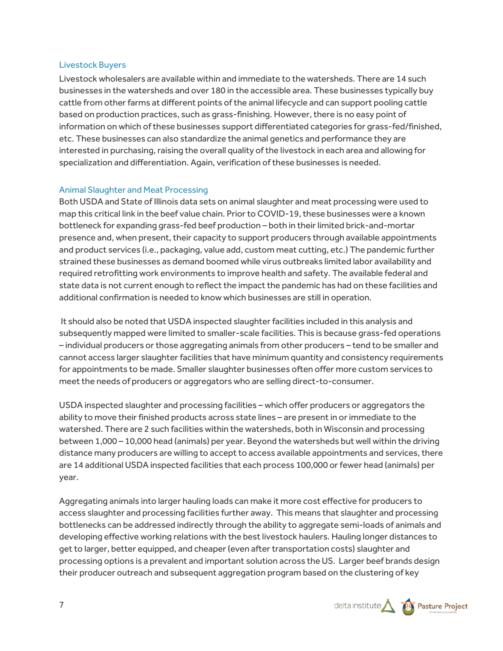#### Livestock Buyers

Livestock wholesalers are available within and immediate to the watersheds. There are 14 such businesses in the watersheds and over 180 in the accessible area. These businesses typically buy cattle from other farms at different points of the animal lifecycle and can support pooling cattle based on production practices, such as grass-finishing. However, there is no easy point of information on which of these businesses support differentiated categories for grass-fed/finished, etc. These businesses can also standardize the animal genetics and performance they are interested in purchasing, raising the overall quality of the livestock in each area and allowing for specialization and differentiation. Again, verification of these businesses is needed.

#### Animal Slaughter and Meat Processing

Both USDA and State of Illinois data sets on animal slaughter and meat processing were used to map this critical link in the beef value chain. Prior to COVID-19, these businesses were a known bottleneck for expanding grass-fed beef production – both in their limited brick-and-mortar presence and, when present, their capacity to support producers through available appointments and product services (i.e., packaging, value add, custom meat cutting, etc.) The pandemic further strained these businesses as demand boomed while virus outbreaks limited labor availability and required retrofitting work environments to improve health and safety. The available federal and state data is not current enough to reflect the impact the pandemic has had on these facilities and additional confirmation is needed to know which businesses are still in operation.

It should also be noted that USDA inspected slaughter facilities included in this analysis and subsequently mapped were limited to smaller-scale facilities. This is because grass-fed operations – individual producers or those aggregating animals from other producers – tend to be smaller and cannot access larger slaughter facilities that have minimum quantity and consistency requirements for appointments to be made. Smaller slaughter businesses often offer more custom services to meet the needs of producers or aggregators who are selling direct-to-consumer.

USDA inspected slaughter and processing facilities – which offer producers or aggregators the ability to move their finished products across state lines – are present in or immediate to the watershed. There are 2 such facilities within the watersheds, both in Wisconsin and processing between 1,000 – 10,000 head (animals) per year. Beyond the watersheds but well within the driving distance many producers are willing to accept to access available appointments and services, there are 14 additional USDA inspected facilities that each process 100,000 or fewer head (animals) per year.

Aggregating animals into larger hauling loads can make it more cost effective for producers to access slaughter and processing facilities further away. This means that slaughter and processing bottlenecks can be addressed indirectly through the ability to aggregate semi-loads of animals and developing effective working relations with the best livestock haulers. Hauling longer distances to get to larger, better equipped, and cheaper (even after transportation costs) slaughter and processing options is a prevalent and important solution across the US. Larger beef brands design their producer outreach and subsequent aggregation program based on the clustering of key

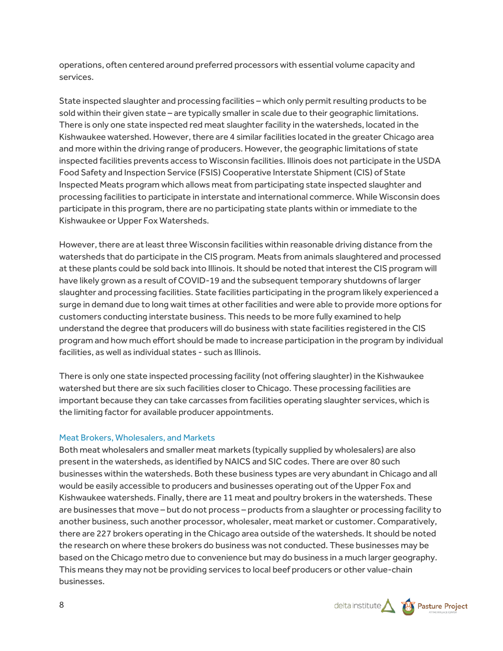operations, often centered around preferred processors with essential volume capacity and services.

State inspected slaughter and processing facilities – which only permit resulting products to be sold within their given state – are typically smaller in scale due to their geographic limitations. There is only one state inspected red meat slaughter facility in the watersheds, located in the Kishwaukee watershed. However, there are 4 similar facilities located in the greater Chicago area and more within the driving range of producers. However, the geographic limitations of state inspected facilities prevents access to Wisconsin facilities. Illinois does not participate in the USDA Food Safety and Inspection Service (FSIS) Cooperative Interstate Shipment (CIS) of State Inspected Meats program which allows meat from participating state inspected slaughter and processing facilities to participate in interstate and international commerce. While Wisconsin does participate in this program, there are no participating state plants within or immediate to the Kishwaukee or Upper Fox Watersheds.

However, there are at least three Wisconsin facilities within reasonable driving distance from the watersheds that do participate in the CIS program. Meats from animals slaughtered and processed at these plants could be sold back into Illinois. It should be noted that interest the CIS program will have likely grown as a result of COVID-19 and the subsequent temporary shutdowns of larger slaughter and processing facilities. State facilities participating in the program likely experienced a surge in demand due to long wait times at other facilities and were able to provide more options for customers conducting interstate business. This needs to be more fully examined to help understand the degree that producers will do business with state facilities registered in the CIS program and how much effort should be made to increase participation in the program by individual facilities, as well as individual states - such as Illinois.

There is only one state inspected processing facility (not offering slaughter) in the Kishwaukee watershed but there are six such facilities closer to Chicago. These processing facilities are important because they can take carcasses from facilities operating slaughter services, which is the limiting factor for available producer appointments.

#### Meat Brokers, Wholesalers, and Markets

Both meat wholesalers and smaller meat markets (typically supplied by wholesalers) are also present in the watersheds, as identified by NAICS and SIC codes. There are over 80 such businesses within the watersheds. Both these business types are very abundant in Chicago and all would be easily accessible to producers and businesses operating out of the Upper Fox and Kishwaukee watersheds. Finally, there are 11 meat and poultry brokers in the watersheds. These are businesses that move – but do not process – products from a slaughter or processing facility to another business, such another processor, wholesaler, meat market or customer. Comparatively, there are 227 brokers operating in the Chicago area outside of the watersheds. It should be noted the research on where these brokers do business was not conducted. These businesses may be based on the Chicago metro due to convenience but may do business in a much larger geography. This means they may not be providing services to local beef producers or other value-chain businesses.

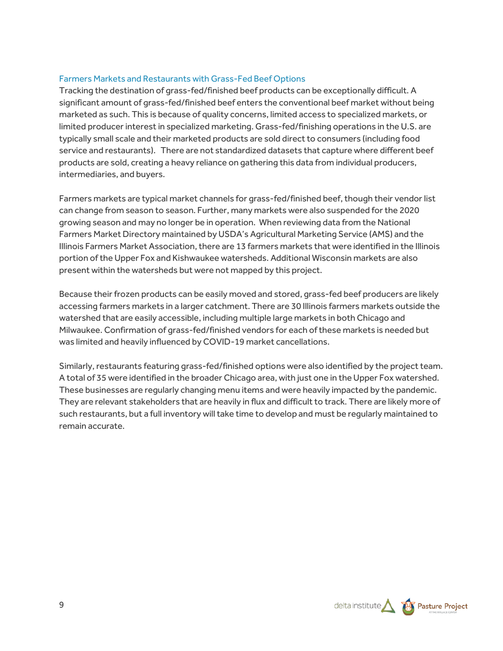#### Farmers Markets and Restaurants with Grass-Fed Beef Options

Tracking the destination of grass-fed/finished beef products can be exceptionally difficult. A significant amount of grass-fed/finished beef enters the conventional beef market without being marketed as such. This is because of quality concerns, limited access to specialized markets, or limited producer interest in specialized marketing. Grass-fed/finishing operations in the U.S. are typically small scale and their marketed products are sold direct to consumers (including food service and restaurants). There are not standardized datasets that capture where different beef products are sold, creating a heavy reliance on gathering this data from individual producers, intermediaries, and buyers.

Farmers markets are typical market channels for grass-fed/finished beef, though their vendor list can change from season to season. Further, many markets were also suspended for the 2020 growing season and may no longer be in operation. When reviewing data from the National Farmers Market Directory maintained by USDA's Agricultural Marketing Service (AMS) and the Illinois Farmers Market Association, there are 13 farmers markets that were identified in the Illinois portion of the Upper Fox and Kishwaukee watersheds. Additional Wisconsin markets are also present within the watersheds but were not mapped by this project.

Because their frozen products can be easily moved and stored, grass-fed beef producers are likely accessing farmers markets in a larger catchment. There are 30 Illinois farmers markets outside the watershed that are easily accessible, including multiple large markets in both Chicago and Milwaukee. Confirmation of grass-fed/finished vendors for each of these markets is needed but was limited and heavily influenced by COVID-19 market cancellations.

Similarly, restaurants featuring grass-fed/finished options were also identified by the project team. A total of 35 were identified in the broader Chicago area, with just one in the Upper Fox watershed. These businesses are regularly changing menu items and were heavily impacted by the pandemic. They are relevant stakeholders that are heavily in flux and difficult to track. There are likely more of such restaurants, but a full inventory will take time to develop and must be regularly maintained to remain accurate.



9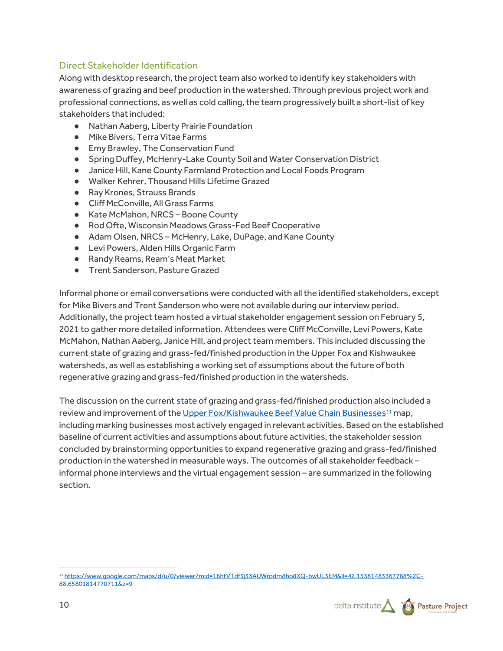## Direct Stakeholder Identification

Along with desktop research, the project team also worked to identify key stakeholders with awareness of grazing and beef production in the watershed. Through previous project work and professional connections, as well as cold calling, the team progressively built a short-list of key stakeholders that included:

- Nathan Aaberg, Liberty Prairie Foundation
- Mike Bivers, Terra Vitae Farms
- Emy Brawley, The Conservation Fund
- Spring Duffey, McHenry-Lake County Soil and Water Conservation District
- Janice Hill, Kane County Farmland Protection and Local Foods Program
- Walker Kehrer, Thousand Hills Lifetime Grazed
- Ray Krones, Strauss Brands
- Cliff McConville, All Grass Farms
- Kate McMahon, NRCS-Boone County
- Rod Ofte, Wisconsin Meadows Grass-Fed Beef Cooperative
- Adam Olsen, NRCS McHenry, Lake, DuPage, and Kane County
- Levi Powers, Alden Hills Organic Farm
- Randy Reams, Ream's Meat Market
- Trent Sanderson, Pasture Grazed

Informal phone or email conversations were conducted with all the identified stakeholders, except for Mike Bivers and Trent Sanderson who were not available during our interview period. Additionally, the project team hosted a virtual stakeholder engagement session on February 5, 2021 to gather more detailed information. Attendees were Cliff McConville, Levi Powers, Kate McMahon, Nathan Aaberg, Janice Hill, and project team members. This included discussing the current state of grazing and grass-fed/finished production in the Upper Fox and Kishwaukee watersheds, as well as establishing a working set of assumptions about the future of both regenerative grazing and grass-fed/finished production in the watersheds.

The discussion on the current state of grazing and grass-fed/finished production also included a review and improvement of th[e Upper Fox/Kishwaukee Beef Value Chain Businesses](https://www.google.com/maps/d/u/0/viewer?mid=16htVTdf3j33AUWrpdm8ho8XQ-bwUL3EM&ll=42.15381483367788%2C-88.65801814770711&z=9) $^{11}$  $^{11}$  $^{11}$  map, including marking businesses most actively engaged in relevant activities. Based on the established baseline of current activities and assumptions about future activities, the stakeholder session concluded by brainstorming opportunities to expand regenerative grazing and grass-fed/finished production in the watershed in measurable ways. The outcomes of all stakeholder feedback – informal phone interviews and the virtual engagement session – are summarized in the following section.

<span id="page-9-0"></span><sup>11</sup> [https://www.google.com/maps/d/u/0/viewer?mid=16htVTdf3j33AUWrpdm8ho8XQ-bwUL3EM&ll=42.15381483367788%2C-](https://www.google.com/maps/d/u/0/viewer?mid=16htVTdf3j33AUWrpdm8ho8XQ-bwUL3EM&ll=42.15381483367788%2C-88.65801814770711&z=9)[88.65801814770711&z=9](https://www.google.com/maps/d/u/0/viewer?mid=16htVTdf3j33AUWrpdm8ho8XQ-bwUL3EM&ll=42.15381483367788%2C-88.65801814770711&z=9)

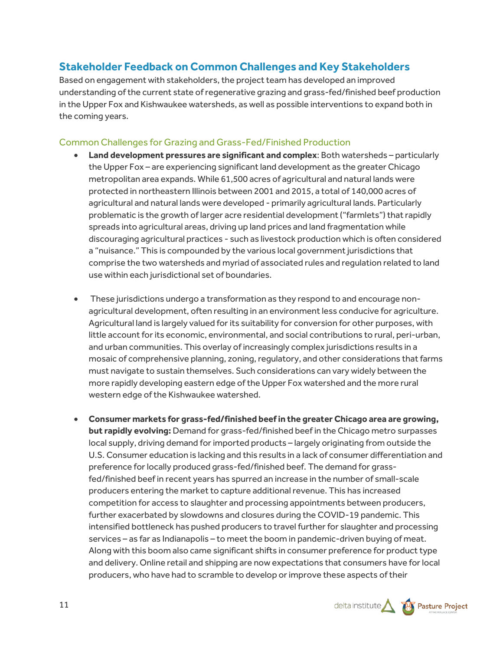# **Stakeholder Feedback on Common Challenges and Key Stakeholders**

Based on engagement with stakeholders, the project team has developed an improved understanding of the current state of regenerative grazing and grass-fed/finished beef production in the Upper Fox and Kishwaukee watersheds, as well as possible interventions to expand both in the coming years.

# Common Challenges for Grazing and Grass-Fed/Finished Production

- **Land development pressures are significant and complex**: Both watersheds particularly the Upper Fox – are experiencing significant land development as the greater Chicago metropolitan area expands. While 61,500 acres of agricultural and natural lands were protected in northeastern Illinois between 2001 and 2015, a total of 140,000 acres of agricultural and natural lands were developed - primarily agricultural lands. Particularly problematic is the growth of larger acre residential development ("farmlets") that rapidly spreads into agricultural areas, driving up land prices and land fragmentation while discouraging agricultural practices - such as livestock production which is often considered a "nuisance." This is compounded by the various local government jurisdictions that comprise the two watersheds and myriad of associated rules and regulation related to land use within each jurisdictional set of boundaries.
- These jurisdictions undergo a transformation as they respond to and encourage nonagricultural development, often resulting in an environment less conducive for agriculture. Agricultural land is largely valued for its suitability for conversion for other purposes, with little account for its economic, environmental, and social contributions to rural, peri-urban, and urban communities. This overlay of increasingly complex jurisdictions results in a mosaic of comprehensive planning, zoning, regulatory, and other considerations that farms must navigate to sustain themselves. Such considerations can vary widely between the more rapidly developing eastern edge of the Upper Fox watershed and the more rural western edge of the Kishwaukee watershed.
- **Consumer markets for grass-fed/finished beef in the greater Chicago area are growing, but rapidly evolving:** Demand for grass-fed/finished beef in the Chicago metro surpasses local supply, driving demand for imported products – largely originating from outside the U.S. Consumer education is lacking and this results in a lack of consumer differentiation and preference for locally produced grass-fed/finished beef. The demand for grassfed/finished beef in recent years has spurred an increase in the number of small-scale producers entering the market to capture additional revenue. This has increased competition for access to slaughter and processing appointments between producers, further exacerbated by slowdowns and closures during the COVID-19 pandemic. This intensified bottleneck has pushed producers to travel further for slaughter and processing services – as far as Indianapolis – to meet the boom in pandemic-driven buying of meat. Along with this boom also came significant shifts in consumer preference for product type and delivery. Online retail and shipping are now expectations that consumers have for local producers, who have had to scramble to develop or improve these aspects of their

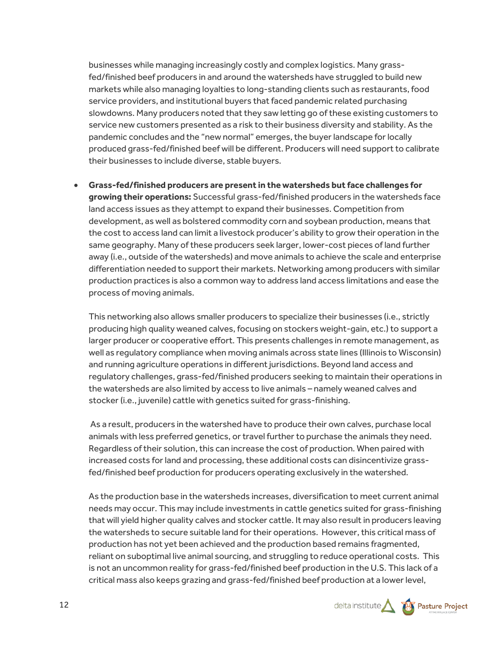businesses while managing increasingly costly and complex logistics. Many grassfed/finished beef producers in and around the watersheds have struggled to build new markets while also managing loyalties to long-standing clients such as restaurants, food service providers, and institutional buyers that faced pandemic related purchasing slowdowns. Many producers noted that they saw letting go of these existing customers to service new customers presented as a risk to their business diversity and stability. As the pandemic concludes and the "new normal" emerges, the buyer landscape for locally produced grass-fed/finished beef will be different. Producers will need support to calibrate their businesses to include diverse, stable buyers.

• **Grass-fed/finished producers are present in the watersheds but face challenges for growing their operations:** Successful grass-fed/finished producers in the watersheds face land access issues as they attempt to expand their businesses. Competition from development, as well as bolstered commodity corn and soybean production, means that the cost to access land can limit a livestock producer's ability to grow their operation in the same geography. Many of these producers seek larger, lower-cost pieces of land further away (i.e., outside of the watersheds) and move animals to achieve the scale and enterprise differentiation needed to support their markets. Networking among producers with similar production practices is also a common way to address land access limitations and ease the process of moving animals.

This networking also allows smaller producers to specialize their businesses (i.e., strictly producing high quality weaned calves, focusing on stockers weight-gain, etc.) to support a larger producer or cooperative effort. This presents challenges in remote management, as well as regulatory compliance when moving animals across state lines (Illinois to Wisconsin) and running agriculture operations in different jurisdictions. Beyond land access and regulatory challenges, grass-fed/finished producers seeking to maintain their operations in the watersheds are also limited by access to live animals – namely weaned calves and stocker (i.e., juvenile) cattle with genetics suited for grass-finishing.

As a result, producers in the watershed have to produce their own calves, purchase local animals with less preferred genetics, or travel further to purchase the animals they need. Regardless of their solution, this can increase the cost of production. When paired with increased costs for land and processing, these additional costs can disincentivize grassfed/finished beef production for producers operating exclusively in the watershed.

As the production base in the watersheds increases, diversification to meet current animal needs may occur. This may include investments in cattle genetics suited for grass-finishing that will yield higher quality calves and stocker cattle. It may also result in producers leaving the watersheds to secure suitable land for their operations. However, this critical mass of production has not yet been achieved and the production based remains fragmented, reliant on suboptimal live animal sourcing, and struggling to reduce operational costs. This is not an uncommon reality for grass-fed/finished beef production in the U.S. This lack of a critical mass also keeps grazing and grass-fed/finished beef production at a lower level,

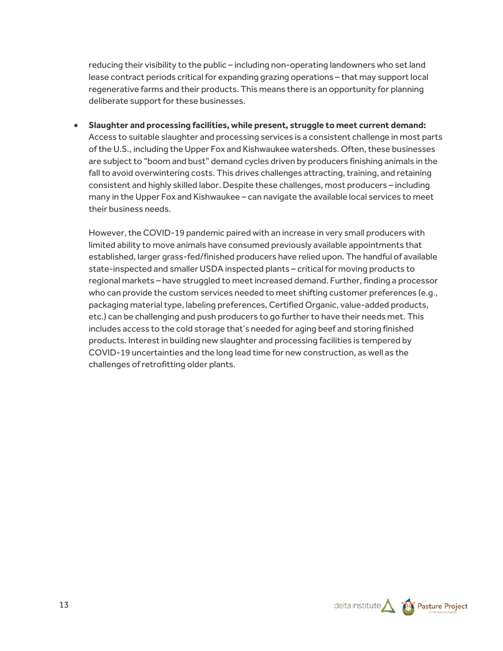reducing their visibility to the public – including non-operating landowners who set land lease contract periods critical for expanding grazing operations – that may support local regenerative farms and their products. This means there is an opportunity for planning deliberate support for these businesses.

• **Slaughter and processing facilities, while present, struggle to meet current demand:** Access to suitable slaughter and processing services is a consistent challenge in most parts of the U.S., including the Upper Fox and Kishwaukee watersheds. Often, these businesses are subject to "boom and bust" demand cycles driven by producers finishing animals in the fall to avoid overwintering costs. This drives challenges attracting, training, and retaining consistent and highly skilled labor. Despite these challenges, most producers – including many in the Upper Fox and Kishwaukee – can navigate the available local services to meet their business needs.

However, the COVID-19 pandemic paired with an increase in very small producers with limited ability to move animals have consumed previously available appointments that established, larger grass-fed/finished producers have relied upon. The handful of available state-inspected and smaller USDA inspected plants – critical for moving products to regional markets – have struggled to meet increased demand. Further, finding a processor who can provide the custom services needed to meet shifting customer preferences (e.g., packaging material type, labeling preferences, Certified Organic, value-added products, etc.) can be challenging and push producers to go further to have their needs met. This includes access to the cold storage that's needed for aging beef and storing finished products. Interest in building new slaughter and processing facilities is tempered by COVID-19 uncertainties and the long lead time for new construction, as well as the challenges of retrofitting older plants.

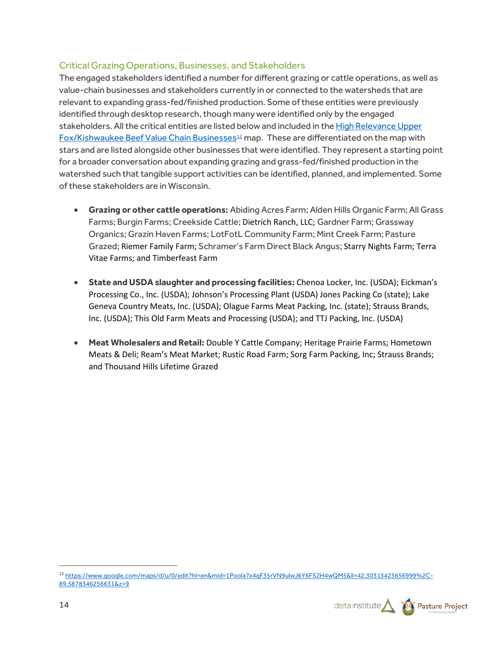## Critical Grazing Operations, Businesses, and Stakeholders

The engaged stakeholders identified a number for different grazing or cattle operations, as well as value-chain businesses and stakeholders currently in or connected to the watersheds that are relevant to expanding grass-fed/finished production. Some of these entities were previously identified through desktop research, though many were identified only by the engaged stakeholders. All the critical entities are listed below and included in th[e High Relevance Upper](https://www.google.com/maps/d/u/0/edit?hl=en&mid=1PooIa7x4qF35rVN9ulwJ6Y6FS2H4wQM5&ll=42.30595703074856%2C-89.5878346256631&z=9)  [Fox/Kishwaukee Beef Value Chain Businesses](https://www.google.com/maps/d/u/0/edit?hl=en&mid=1PooIa7x4qF35rVN9ulwJ6Y6FS2H4wQM5&ll=42.30595703074856%2C-89.5878346256631&z=9)<sup>[12](#page-13-0)</sup> map. These are differentiated on the map with stars and are listed alongside other businesses that were identified. They represent a starting point for a broader conversation about expanding grazing and grass-fed/finished production in the watershed such that tangible support activities can be identified, planned, and implemented. Some of these stakeholders are in Wisconsin.

- **Grazing or other cattle operations:** Abiding Acres Farm; Alden Hills Organic Farm; All Grass Farms; Burgin Farms; Creekside Cattle; Dietrich Ranch, LLC; Gardner Farm; Grassway Organics; Grazin Haven Farms; LotFotL Community Farm; Mint Creek Farm; Pasture Grazed; Riemer Family Farm; Schramer's Farm Direct Black Angus; Starry Nights Farm; Terra Vitae Farms; and Timberfeast Farm
- **State and USDA slaughter and processing facilities:** Chenoa Locker, Inc. (USDA); Eickman's Processing Co., Inc. (USDA); Johnson's Processing Plant (USDA) Jones Packing Co (state); Lake Geneva Country Meats, Inc. (USDA); Olague Farms Meat Packing, Inc. (state); Strauss Brands, Inc. (USDA); This Old Farm Meats and Processing (USDA); and TTJ Packing, Inc. (USDA)
- **Meat Wholesalers and Retail:** Double Y Cattle Company; Heritage Prairie Farms; Hometown Meats & Deli; Ream's Meat Market; Rustic Road Farm; Sorg Farm Packing, Inc; Strauss Brands; and Thousand Hills Lifetime Grazed

<span id="page-13-0"></span><sup>12</sup> [https://www.google.com/maps/d/u/0/edit?hl=en&mid=1PooIa7x4qF35rVN9ulwJ6Y6FS2H4wQM5&ll=42.30313423656999%2C-](https://www.google.com/maps/d/u/0/edit?hl=en&mid=1PooIa7x4qF35rVN9ulwJ6Y6FS2H4wQM5&ll=42.30313423656999%2C-89.5878346256631&z=9)[89.5878346256631&z=9](https://www.google.com/maps/d/u/0/edit?hl=en&mid=1PooIa7x4qF35rVN9ulwJ6Y6FS2H4wQM5&ll=42.30313423656999%2C-89.5878346256631&z=9)

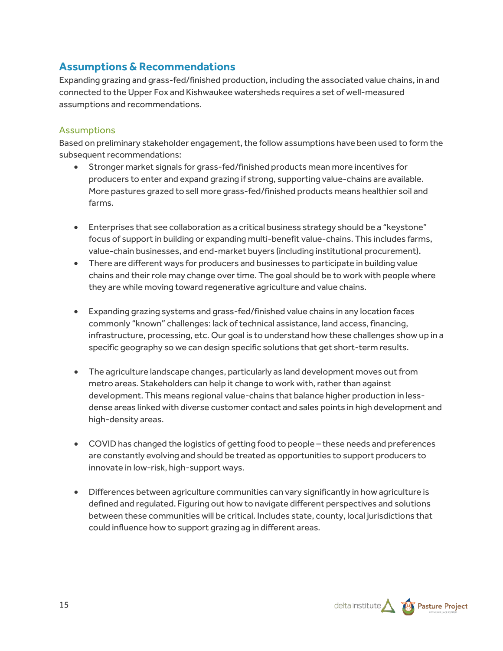# **Assumptions & Recommendations**

Expanding grazing and grass-fed/finished production, including the associated value chains, in and connected to the Upper Fox and Kishwaukee watersheds requires a set of well-measured assumptions and recommendations.

## Assumptions

Based on preliminary stakeholder engagement, the follow assumptions have been used to form the subsequent recommendations:

- Stronger market signals for grass-fed/finished products mean more incentives for producers to enter and expand grazing if strong, supporting value-chains are available. More pastures grazed to sell more grass-fed/finished products means healthier soil and farms.
- Enterprises that see collaboration as a critical business strategy should be a "keystone" focus of support in building or expanding multi-benefit value-chains. This includes farms, value-chain businesses, and end-market buyers (including institutional procurement).
- There are different ways for producers and businesses to participate in building value chains and their role may change over time. The goal should be to work with people where they are while moving toward regenerative agriculture and value chains.
- Expanding grazing systems and grass-fed/finished value chains in any location faces commonly "known" challenges: lack of technical assistance, land access, financing, infrastructure, processing, etc. Our goal is to understand how these challenges show up in a specific geography so we can design specific solutions that get short-term results.
- The agriculture landscape changes, particularly as land development moves out from metro areas. Stakeholders can help it change to work with, rather than against development. This means regional value-chains that balance higher production in lessdense areas linked with diverse customer contact and sales points in high development and high-density areas.
- COVID has changed the logistics of getting food to people these needs and preferences are constantly evolving and should be treated as opportunities to support producers to innovate in low-risk, high-support ways.
- Differences between agriculture communities can vary significantly in how agriculture is defined and regulated. Figuring out how to navigate different perspectives and solutions between these communities will be critical. Includes state, county, local jurisdictions that could influence how to support grazing ag in different areas.

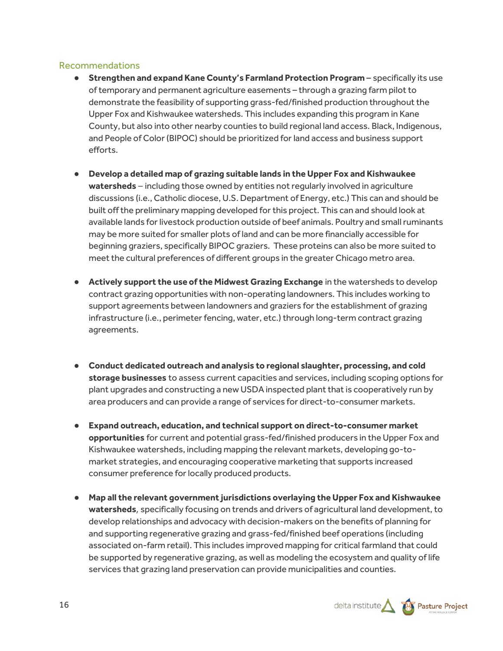#### Recommendations

- **Strengthen and expand Kane County's Farmland Protection Program specifically its use** of temporary and permanent agriculture easements – through a grazing farm pilot to demonstrate the feasibility of supporting grass-fed/finished production throughout the Upper Fox and Kishwaukee watersheds. This includes expanding this program in Kane County, but also into other nearby counties to build regional land access. Black, Indigenous, and People of Color (BIPOC) should be prioritized for land access and business support efforts.
- **Develop a detailed map of grazing suitable lands in the Upper Fox and Kishwaukee watersheds** – including those owned by entities not regularly involved in agriculture discussions (i.e., Catholic diocese, U.S. Department of Energy, etc.) This can and should be built offthe preliminary mapping developed for this project. This can and should look at available lands for livestock production outside of beef animals. Poultry and small ruminants may be more suited for smaller plots of land and can be more financially accessible for beginning graziers, specifically BIPOC graziers. These proteins can also be more suited to meet the cultural preferences of different groups in the greater Chicago metro area.
- **Actively support the use of the Midwest Grazing Exchange** in the watersheds to develop contract grazing opportunities with non-operating landowners. This includes working to support agreements between landowners and graziers for the establishment of grazing infrastructure (i.e., perimeter fencing, water, etc.) through long-term contract grazing agreements.
- **Conduct dedicated outreach and analysis to regional slaughter, processing, and cold storage businesses** to assess current capacities and services, including scoping options for plant upgrades and constructing a new USDA inspected plant that is cooperatively run by area producers and can provide a range of services for direct-to-consumer markets.
- **Expand outreach, education, and technical support on direct-to-consumer market opportunities** for current and potential grass-fed/finished producers in the Upper Fox and Kishwaukee watersheds, including mapping the relevant markets, developing go-tomarket strategies, and encouraging cooperative marketing that supports increased consumer preference for locally produced products.
- **Map all the relevant government jurisdictions overlaying the Upper Fox and Kishwaukee watersheds**, specifically focusing on trends and drivers of agricultural land development, to develop relationships and advocacy with decision-makers on the benefits of planning for and supporting regenerative grazing and grass-fed/finished beef operations (including associated on-farm retail). This includes improved mapping for critical farmland that could be supported by regenerative grazing, as well as modeling the ecosystem and quality of life services that grazing land preservation can provide municipalities and counties.

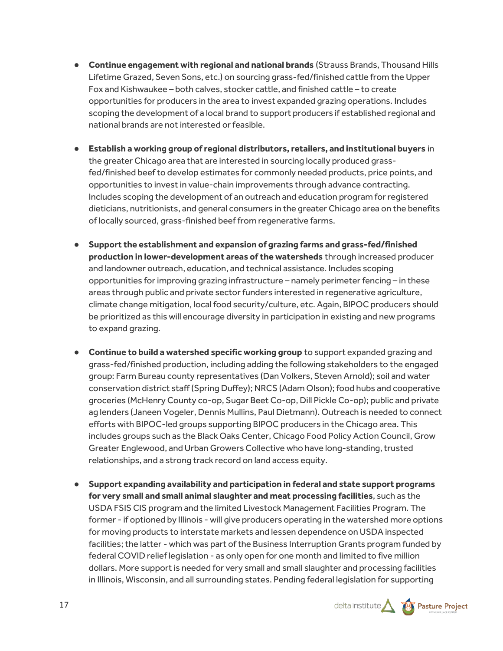- **Continue engagement with regional and national brands** (Strauss Brands, Thousand Hills Lifetime Grazed, Seven Sons, etc.) on sourcing grass-fed/finished cattle from the Upper Fox and Kishwaukee – both calves, stocker cattle, and finished cattle – to create opportunities for producers in the area to invest expanded grazing operations. Includes scoping the development of a local brand to support producers if established regional and national brands are not interested or feasible.
- **Establish a working group of regional distributors, retailers, and institutional buyers** in the greater Chicago area that are interested in sourcing locally produced grassfed/finished beef to develop estimates for commonly needed products, price points, and opportunities to invest in value-chain improvements through advance contracting. Includes scoping the development of an outreach and education program for registered dieticians, nutritionists, and general consumers in the greater Chicago area on the benefits of locally sourced, grass-finished beef from regenerative farms.
- **Support the establishment and expansion of grazing farms and grass-fed/finished production in lower-development areas of the watersheds** through increased producer and landowner outreach, education, and technical assistance. Includes scoping opportunities for improving grazing infrastructure – namely perimeter fencing – in these areas through public and private sector funders interested in regenerative agriculture, climate change mitigation, local food security/culture, etc. Again, BIPOC producers should be prioritized as this will encourage diversity in participation in existing and new programs to expand grazing.
- **Continue to build a watershed specific working group** to support expanded grazing and grass-fed/finished production, including adding the following stakeholders to the engaged group: Farm Bureau county representatives (Dan Volkers, Steven Arnold); soil and water conservation district staff (Spring Duffey); NRCS (Adam Olson); food hubs and cooperative groceries (McHenry County co-op, Sugar Beet Co-op, Dill Pickle Co-op); public and private ag lenders (Janeen Vogeler, Dennis Mullins, Paul Dietmann). Outreach is needed to connect efforts with BIPOC-led groups supporting BIPOC producers in the Chicago area. This includes groups such as the Black Oaks Center, Chicago Food Policy Action Council, Grow Greater Englewood, and Urban Growers Collective who have long-standing, trusted relationships, and a strong track record on land access equity.
- **Support expanding availability and participation in federal and state support programs for very small and small animal slaughter and meat processing facilities**, such as the USDA FSIS CIS program and the limited Livestock Management Facilities Program. The former - if optioned by Illinois - will give producers operating in the watershed more options for moving products to interstate markets and lessen dependence on USDA inspected facilities; the latter - which was part of the Business Interruption Grants program funded by federal COVID relief legislation - as only open for one month and limited to five million dollars. More support is needed for very small and small slaughter and processing facilities in Illinois, Wisconsin, and all surrounding states. Pending federal legislation for supporting



17